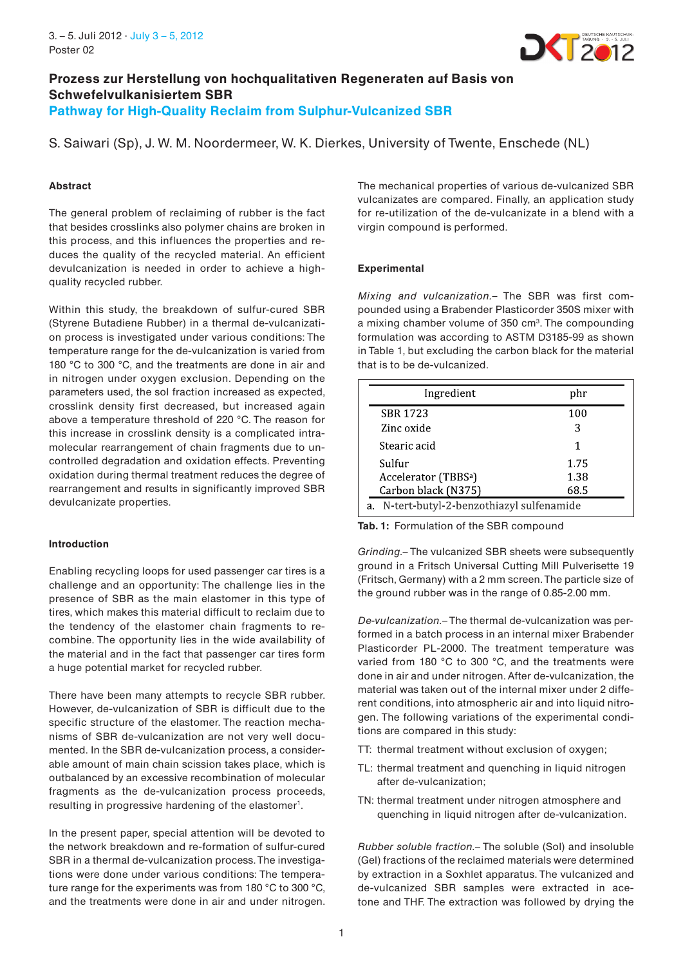

# **Prozess zur Herstellung von hochqualitativen Regeneraten auf Basis von Schwefelvulkanisiertem SBR Pathway for High-Quality Reclaim from Sulphur-Vulcanized SBR**

S. Saiwari (Sp), J. W. M. Noordermeer, W. K. Dierkes, University of Twente, Enschede (NL)

## **Abstract**

The general problem of reclaiming of rubber is the fact that besides crosslinks also polymer chains are broken in this process, and this influences the properties and reduces the quality of the recycled material. An efficient devulcanization is needed in order to achieve a highquality recycled rubber.

Within this study, the breakdown of sulfur-cured SBR (Styrene Butadiene Rubber) in a thermal de-vulcanization process is investigated under various conditions: The temperature range for the de-vulcanization is varied from 180 °C to 300 °C, and the treatments are done in air and in nitrogen under oxygen exclusion. Depending on the parameters used, the sol fraction increased as expected, crosslink density first decreased, but increased again above a temperature threshold of 220 °C. The reason for this increase in crosslink density is a complicated intramolecular rearrangement of chain fragments due to uncontrolled degradation and oxidation effects. Preventing oxidation during thermal treatment reduces the degree of rearrangement and results in significantly improved SBR devulcanizate properties.

#### **Introduction**

Enabling recycling loops for used passenger car tires is a challenge and an opportunity: The challenge lies in the presence of SBR as the main elastomer in this type of tires, which makes this material difficult to reclaim due to the tendency of the elastomer chain fragments to recombine. The opportunity lies in the wide availability of the material and in the fact that passenger car tires form a huge potential market for recycled rubber.

There have been many attempts to recycle SBR rubber. However, de-vulcanization of SBR is difficult due to the specific structure of the elastomer. The reaction mechanisms of SBR de-vulcanization are not very well documented. In the SBR de-vulcanization process, a considerable amount of main chain scission takes place, which is outbalanced by an excessive recombination of molecular fragments as the de-vulcanization process proceeds, resulting in progressive hardening of the elastomer<sup>1</sup>.

In the present paper, special attention will be devoted to the network breakdown and re-formation of sulfur-cured SBR in a thermal de-vulcanization process. The investigations were done under various conditions: The temperature range for the experiments was from 180 °C to 300 °C, and the treatments were done in air and under nitrogen. The mechanical properties of various de-vulcanized SBR vulcanizates are compared. Finally, an application study for re-utilization of the de-vulcanizate in a blend with a virgin compound is performed.

# **Experimental**

Mixing and vulcanization.– The SBR was first compounded using a Brabender Plasticorder 350S mixer with a mixing chamber volume of 350 cm3. The compounding formulation was according to ASTM D3185-99 as shown in Table 1, but excluding the carbon black for the material that is to be de-vulcanized.

| phr  |
|------|
| 100  |
| 3    |
|      |
| 1.75 |
| 1.38 |
| 68.5 |
|      |

**Tab. 1:** Formulation of the SBR compound

Grinding.– The vulcanized SBR sheets were subsequently ground in a Fritsch Universal Cutting Mill Pulverisette 19 (Fritsch, Germany) with a 2 mm screen. The particle size of the ground rubber was in the range of 0.85-2.00 mm.

De-vulcanization.– The thermal de-vulcanization was performed in a batch process in an internal mixer Brabender Plasticorder PL-2000. The treatment temperature was varied from 180 °C to 300 °C, and the treatments were done in air and under nitrogen. After de-vulcanization, the material was taken out of the internal mixer under 2 different conditions, into atmospheric air and into liquid nitrogen. The following variations of the experimental conditions are compared in this study:

- TT: thermal treatment without exclusion of oxygen;
- TL: thermal treatment and quenching in liquid nitrogen after de-vulcanization;
- TN: thermal treatment under nitrogen atmosphere and quenching in liquid nitrogen after de-vulcanization.

Rubber soluble fraction.– The soluble (Sol) and insoluble (Gel) fractions of the reclaimed materials were determined by extraction in a Soxhlet apparatus. The vulcanized and de-vulcanized SBR samples were extracted in ace tone and THF. The extraction was followed by drying the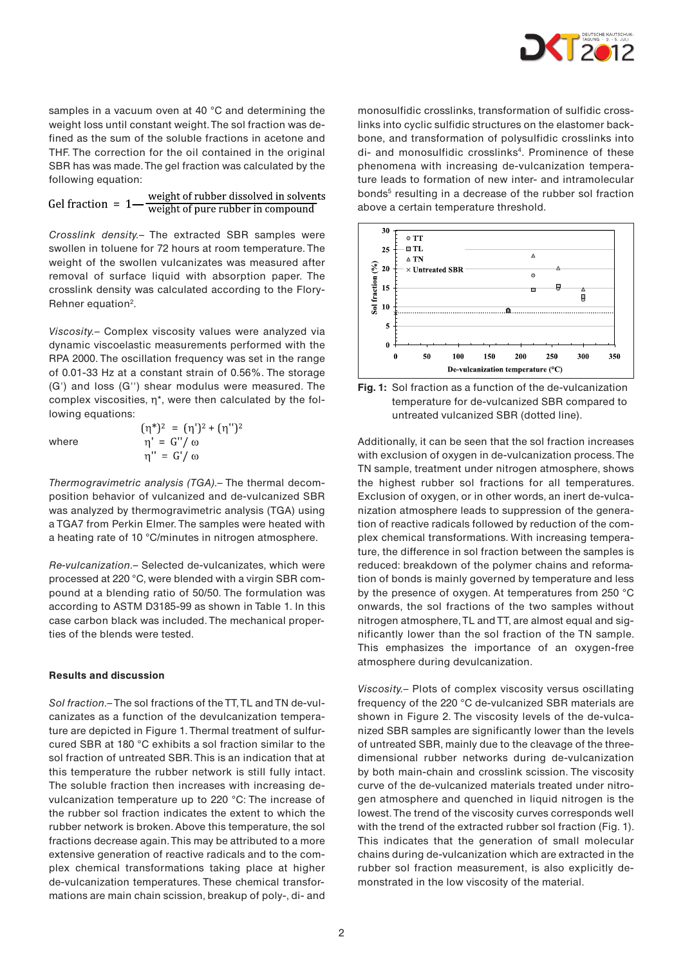

samples in a vacuum oven at 40 °C and determining the weight loss until constant weight. The sol fraction was defined as the sum of the soluble fractions in acetone and THF. The correction for the oil contained in the original SBR has was made. The gel fraction was calculated by the following equation:

weight of rubber dissolved in solvents Gel fraction =  $1$ weight of pure rubber in compound

Crosslink density.– The extracted SBR samples were swollen in toluene for 72 hours at room temperature. The weight of the swollen vulcanizates was measured after removal of surface liquid with absorption paper. The crosslink density was calculated according to the Flory-Rehner equation<sup>2</sup>.

Viscosity.– Complex viscosity values were analyzed via dynamic viscoelastic measurements performed with the RPA 2000. The oscillation frequency was set in the range of 0.01-33 Hz at a constant strain of 0.56%. The storage (G') and loss (G'') shear modulus were measured. The complex viscosities, η\*, were then calculated by the following equations:

where

$$
(\eta^*)^2 = (\eta')^2 + (\eta'')^2
$$
  
\n
$$
\eta' = G'/\omega
$$
  
\n
$$
\eta'' = G'/\omega
$$

Thermogravimetric analysis (TGA).– The thermal decomposition behavior of vulcanized and de-vulcanized SBR was analyzed by thermogravimetric analysis (TGA) using a TGA7 from Perkin Elmer. The samples were heated with a heating rate of 10 °C/minutes in nitrogen atmosphere.

Re-vulcanization.– Selected de-vulcanizates, which were processed at 220 °C, were blended with a virgin SBR compound at a blending ratio of 50/50. The formulation was according to ASTM D3185-99 as shown in Table 1. In this case carbon black was included. The mechanical properties of the blends were tested.

#### **Results and discussion**

Sol fraction.– The sol fractions of the TT, TL and TN de-vulcanizates as a function of the devulcanization temperature are depicted in Figure 1. Thermal treatment of sulfurcured SBR at 180 °C exhibits a sol fraction similar to the sol fraction of untreated SBR. This is an indication that at this temperature the rubber network is still fully intact. The soluble fraction then increases with increasing devulcanization temperature up to 220 °C: The increase of the rubber sol fraction indicates the extent to which the rubber network is broken. Above this temperature, the sol fractions decrease again. This may be attributed to a more extensive generation of reactive radicals and to the complex chemical transformations taking place at higher de-vulcanization temperatures. These chemical transformations are main chain scission, breakup of poly-, di- and

monosulfidic crosslinks, transformation of sulfidic crosslinks into cyclic sulfidic structures on the elastomer backbone, and transformation of polysulfidic crosslinks into di- and monosulfidic crosslinks<sup>4</sup>. Prominence of these phenomena with increasing de-vulcanization temperature leads to formation of new inter- and intramolecular bonds<sup>5</sup> resulting in a decrease of the rubber sol fraction above a certain temperature threshold.





Additionally, it can be seen that the sol fraction increases with exclusion of oxygen in de-vulcanization process. The TN sample, treatment under nitrogen atmosphere, shows the highest rubber sol fractions for all temperatures. Exclusion of oxygen, or in other words, an inert de-vulcanization atmosphere leads to suppression of the generation of reactive radicals followed by reduction of the complex chemical transformations. With increasing temperature, the difference in sol fraction between the samples is reduced: breakdown of the polymer chains and reformation of bonds is mainly governed by temperature and less by the presence of oxygen. At temperatures from 250 °C onwards, the sol fractions of the two samples without nitrogen atmosphere, TL and TT, are almost equal and significantly lower than the sol fraction of the TN sample. This emphasizes the importance of an oxygen-free atmosphere during devulcanization.

Viscosity.– Plots of complex viscosity versus oscillating frequency of the 220 °C de-vulcanized SBR materials are shown in Figure 2. The viscosity levels of the de-vulcanized SBR samples are significantly lower than the levels of untreated SBR, mainly due to the cleavage of the threedimensional rubber networks during de-vulcanization by both main-chain and crosslink scission. The viscosity curve of the de-vulcanized materials treated under nitrogen atmosphere and quenched in liquid nitrogen is the lowest. The trend of the viscosity curves corresponds well with the trend of the extracted rubber sol fraction (Fig. 1). This indicates that the generation of small molecular chains during de-vulcanization which are extracted in the rubber sol fraction measurement, is also explicitly demonstrated in the low viscosity of the material.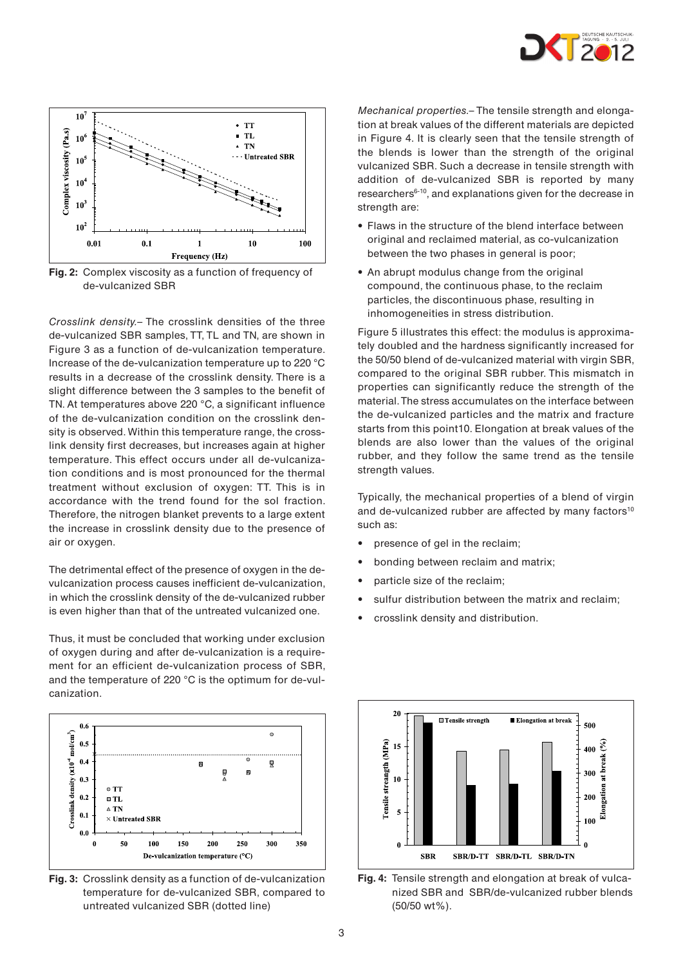



**Fig. 2:** Complex viscosity as a function of frequency of de-vulcanized SBR

Crosslink density.– The crosslink densities of the three de-vulcanized SBR samples, TT, TL and TN, are shown in Figure 3 as a function of de-vulcanization temperature. Increase of the de-vulcanization temperature up to 220 °C results in a decrease of the crosslink density. There is a slight difference between the 3 samples to the benefit of TN. At temperatures above 220 °C, a significant influence of the de-vulcanization condition on the crosslink density is observed. Within this temperature range, the crosslink density first decreases, but increases again at higher temperature. This effect occurs under all de-vulcanization conditions and is most pronounced for the thermal treatment without exclusion of oxygen: TT. This is in accordance with the trend found for the sol fraction. Therefore, the nitrogen blanket prevents to a large extent the increase in crosslink density due to the presence of air or oxygen.

The detrimental effect of the presence of oxygen in the devulcanization process causes inefficient de-vulcanization, in which the crosslink density of the de-vulcanized rubber is even higher than that of the untreated vulcanized one.

Thus, it must be concluded that working under exclusion of oxygen during and after de-vulcanization is a requirement for an efficient de-vulcanization process of SBR, and the temperature of 220 °C is the optimum for de-vulcanization.



**Fig. 3:** Crosslink density as a function of de-vulcanization temperature for de-vulcanized SBR, compared to untreated vulcanized SBR (dotted line)

Mechanical properties.– The tensile strength and elongation at break values of the different materials are depicted in Figure 4. It is clearly seen that the tensile strength of the blends is lower than the strength of the original vulcanized SBR. Such a decrease in tensile strength with addition of de-vulcanized SBR is reported by many researchers6-10, and explanations given for the decrease in strength are:

- Flaws in the structure of the blend interface between original and reclaimed material, as co-vulcanization between the two phases in general is poor;
- An abrupt modulus change from the original compound, the continuous phase, to the reclaim particles, the discontinuous phase, resulting in inhomogeneities in stress distribution.

Figure 5 illustrates this effect: the modulus is approximately doubled and the hardness significantly increased for the 50/50 blend of de-vulcanized material with virgin SBR, compared to the original SBR rubber. This mismatch in properties can significantly reduce the strength of the material. The stress accumulates on the interface between the de-vulcanized particles and the matrix and fracture starts from this point10. Elongation at break values of the blends are also lower than the values of the original rubber, and they follow the same trend as the tensile strength values.

Typically, the mechanical properties of a blend of virgin and de-vulcanized rubber are affected by many factors<sup>10</sup> such as:

- presence of gel in the reclaim;
- bonding between reclaim and matrix;
- particle size of the reclaim;
- sulfur distribution between the matrix and reclaim;
- crosslink density and distribution.



**Fig. 4:** Tensile strength and elongation at break of vulcanized SBR and SBR/de-vulcanized rubber blends (50/50 wt%).